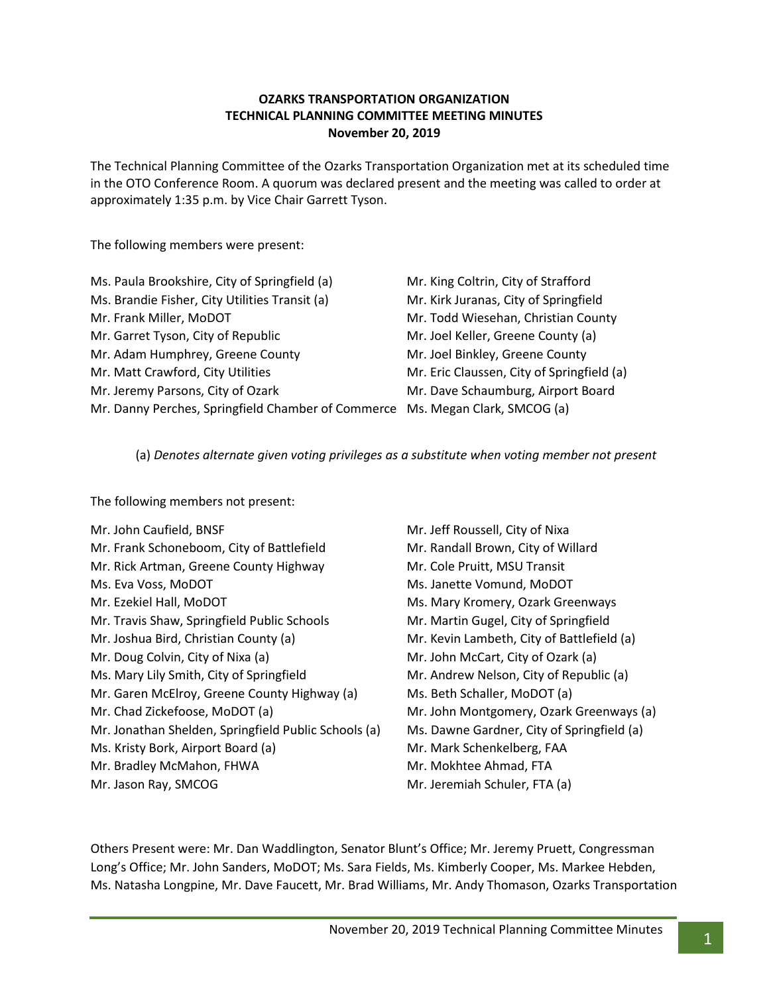### **OZARKS TRANSPORTATION ORGANIZATION TECHNICAL PLANNING COMMITTEE MEETING MINUTES November 20, 2019**

The Technical Planning Committee of the Ozarks Transportation Organization met at its scheduled time in the OTO Conference Room. A quorum was declared present and the meeting was called to order at approximately 1:35 p.m. by Vice Chair Garrett Tyson.

The following members were present:

| Ms. Paula Brookshire, City of Springfield (a)                                 | Mr. King Coltrin, City of Strafford        |
|-------------------------------------------------------------------------------|--------------------------------------------|
| Ms. Brandie Fisher, City Utilities Transit (a)                                | Mr. Kirk Juranas, City of Springfield      |
| Mr. Frank Miller, MoDOT                                                       | Mr. Todd Wiesehan, Christian County        |
| Mr. Garret Tyson, City of Republic                                            | Mr. Joel Keller, Greene County (a)         |
| Mr. Adam Humphrey, Greene County                                              | Mr. Joel Binkley, Greene County            |
| Mr. Matt Crawford, City Utilities                                             | Mr. Eric Claussen, City of Springfield (a) |
| Mr. Jeremy Parsons, City of Ozark                                             | Mr. Dave Schaumburg, Airport Board         |
| Mr. Danny Perches, Springfield Chamber of Commerce Ms. Megan Clark, SMCOG (a) |                                            |

(a) *Denotes alternate given voting privileges as a substitute when voting member not present*

The following members not present:

| Mr. John Caufield, BNSF                              | Mr. Jeff Roussell, City of Nixa            |
|------------------------------------------------------|--------------------------------------------|
| Mr. Frank Schoneboom, City of Battlefield            | Mr. Randall Brown, City of Willard         |
| Mr. Rick Artman, Greene County Highway               | Mr. Cole Pruitt, MSU Transit               |
| Ms. Eva Voss, MoDOT                                  | Ms. Janette Vomund, MoDOT                  |
| Mr. Ezekiel Hall, MoDOT                              | Ms. Mary Kromery, Ozark Greenways          |
| Mr. Travis Shaw, Springfield Public Schools          | Mr. Martin Gugel, City of Springfield      |
| Mr. Joshua Bird, Christian County (a)                | Mr. Kevin Lambeth, City of Battlefield (a) |
| Mr. Doug Colvin, City of Nixa (a)                    | Mr. John McCart, City of Ozark (a)         |
| Ms. Mary Lily Smith, City of Springfield             | Mr. Andrew Nelson, City of Republic (a)    |
| Mr. Garen McElroy, Greene County Highway (a)         | Ms. Beth Schaller, MoDOT (a)               |
| Mr. Chad Zickefoose, MoDOT (a)                       | Mr. John Montgomery, Ozark Greenways (a)   |
| Mr. Jonathan Shelden, Springfield Public Schools (a) | Ms. Dawne Gardner, City of Springfield (a) |
| Ms. Kristy Bork, Airport Board (a)                   | Mr. Mark Schenkelberg, FAA                 |
| Mr. Bradley McMahon, FHWA                            | Mr. Mokhtee Ahmad, FTA                     |
| Mr. Jason Ray, SMCOG                                 | Mr. Jeremiah Schuler, FTA (a)              |
|                                                      |                                            |

Others Present were: Mr. Dan Waddlington, Senator Blunt's Office; Mr. Jeremy Pruett, Congressman Long's Office; Mr. John Sanders, MoDOT; Ms. Sara Fields, Ms. Kimberly Cooper, Ms. Markee Hebden, Ms. Natasha Longpine, Mr. Dave Faucett, Mr. Brad Williams, Mr. Andy Thomason, Ozarks Transportation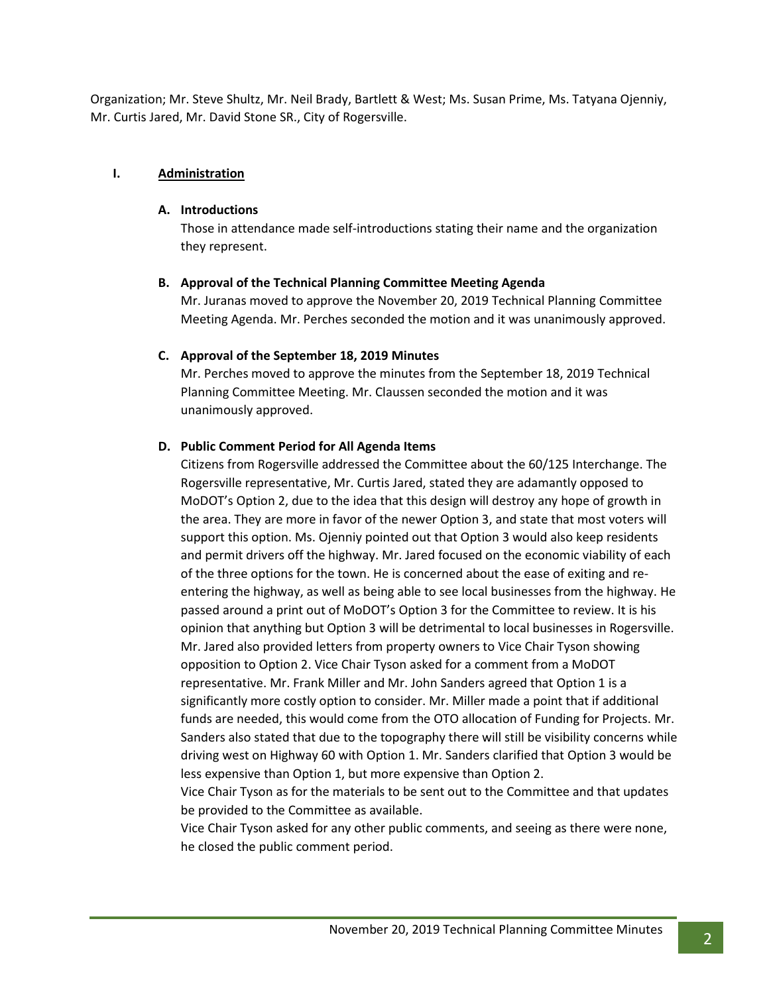Organization; Mr. Steve Shultz, Mr. Neil Brady, Bartlett & West; Ms. Susan Prime, Ms. Tatyana Ojenniy, Mr. Curtis Jared, Mr. David Stone SR., City of Rogersville.

### **I. Administration**

#### **A. Introductions**

Those in attendance made self-introductions stating their name and the organization they represent.

### **B. Approval of the Technical Planning Committee Meeting Agenda**

Mr. Juranas moved to approve the November 20, 2019 Technical Planning Committee Meeting Agenda. Mr. Perches seconded the motion and it was unanimously approved.

### **C. Approval of the September 18, 2019 Minutes**

Mr. Perches moved to approve the minutes from the September 18, 2019 Technical Planning Committee Meeting. Mr. Claussen seconded the motion and it was unanimously approved.

# **D. Public Comment Period for All Agenda Items**

Citizens from Rogersville addressed the Committee about the 60/125 Interchange. The Rogersville representative, Mr. Curtis Jared, stated they are adamantly opposed to MoDOT's Option 2, due to the idea that this design will destroy any hope of growth in the area. They are more in favor of the newer Option 3, and state that most voters will support this option. Ms. Ojenniy pointed out that Option 3 would also keep residents and permit drivers off the highway. Mr. Jared focused on the economic viability of each of the three options for the town. He is concerned about the ease of exiting and reentering the highway, as well as being able to see local businesses from the highway. He passed around a print out of MoDOT's Option 3 for the Committee to review. It is his opinion that anything but Option 3 will be detrimental to local businesses in Rogersville. Mr. Jared also provided letters from property owners to Vice Chair Tyson showing opposition to Option 2. Vice Chair Tyson asked for a comment from a MoDOT representative. Mr. Frank Miller and Mr. John Sanders agreed that Option 1 is a significantly more costly option to consider. Mr. Miller made a point that if additional funds are needed, this would come from the OTO allocation of Funding for Projects. Mr. Sanders also stated that due to the topography there will still be visibility concerns while driving west on Highway 60 with Option 1. Mr. Sanders clarified that Option 3 would be less expensive than Option 1, but more expensive than Option 2.

Vice Chair Tyson as for the materials to be sent out to the Committee and that updates be provided to the Committee as available.

Vice Chair Tyson asked for any other public comments, and seeing as there were none, he closed the public comment period.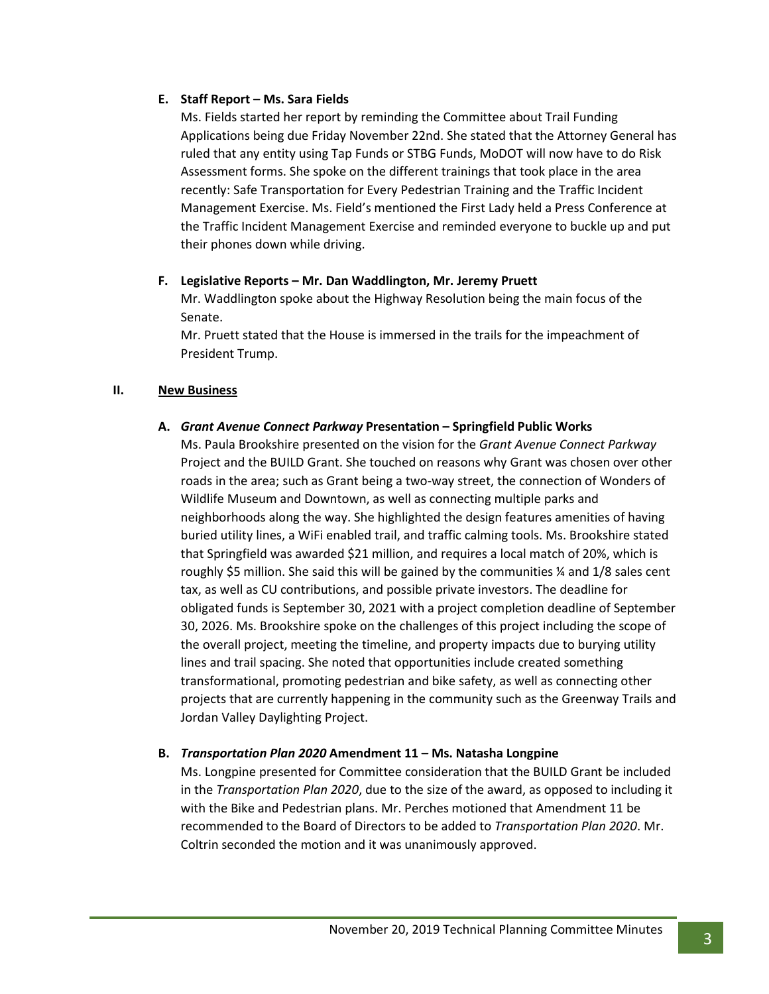# **E. Staff Report – Ms. Sara Fields**

Ms. Fields started her report by reminding the Committee about Trail Funding Applications being due Friday November 22nd. She stated that the Attorney General has ruled that any entity using Tap Funds or STBG Funds, MoDOT will now have to do Risk Assessment forms. She spoke on the different trainings that took place in the area recently: Safe Transportation for Every Pedestrian Training and the Traffic Incident Management Exercise. Ms. Field's mentioned the First Lady held a Press Conference at the Traffic Incident Management Exercise and reminded everyone to buckle up and put their phones down while driving.

# **F. Legislative Reports – Mr. Dan Waddlington, Mr. Jeremy Pruett**

Mr. Waddlington spoke about the Highway Resolution being the main focus of the Senate.

Mr. Pruett stated that the House is immersed in the trails for the impeachment of President Trump.

# **II. New Business**

# **A.** *Grant Avenue Connect Parkway* **Presentation – Springfield Public Works**

Ms. Paula Brookshire presented on the vision for the *Grant Avenue Connect Parkway* Project and the BUILD Grant. She touched on reasons why Grant was chosen over other roads in the area; such as Grant being a two-way street, the connection of Wonders of Wildlife Museum and Downtown, as well as connecting multiple parks and neighborhoods along the way. She highlighted the design features amenities of having buried utility lines, a WiFi enabled trail, and traffic calming tools. Ms. Brookshire stated that Springfield was awarded \$21 million, and requires a local match of 20%, which is roughly \$5 million. She said this will be gained by the communities  $\frac{1}{2}$  and 1/8 sales cent tax, as well as CU contributions, and possible private investors. The deadline for obligated funds is September 30, 2021 with a project completion deadline of September 30, 2026. Ms. Brookshire spoke on the challenges of this project including the scope of the overall project, meeting the timeline, and property impacts due to burying utility lines and trail spacing. She noted that opportunities include created something transformational, promoting pedestrian and bike safety, as well as connecting other projects that are currently happening in the community such as the Greenway Trails and Jordan Valley Daylighting Project.

# **B.** *Transportation Plan 2020* **Amendment 11 – Ms. Natasha Longpine**

Ms. Longpine presented for Committee consideration that the BUILD Grant be included in the *Transportation Plan 2020*, due to the size of the award, as opposed to including it with the Bike and Pedestrian plans. Mr. Perches motioned that Amendment 11 be recommended to the Board of Directors to be added to *Transportation Plan 2020*. Mr. Coltrin seconded the motion and it was unanimously approved.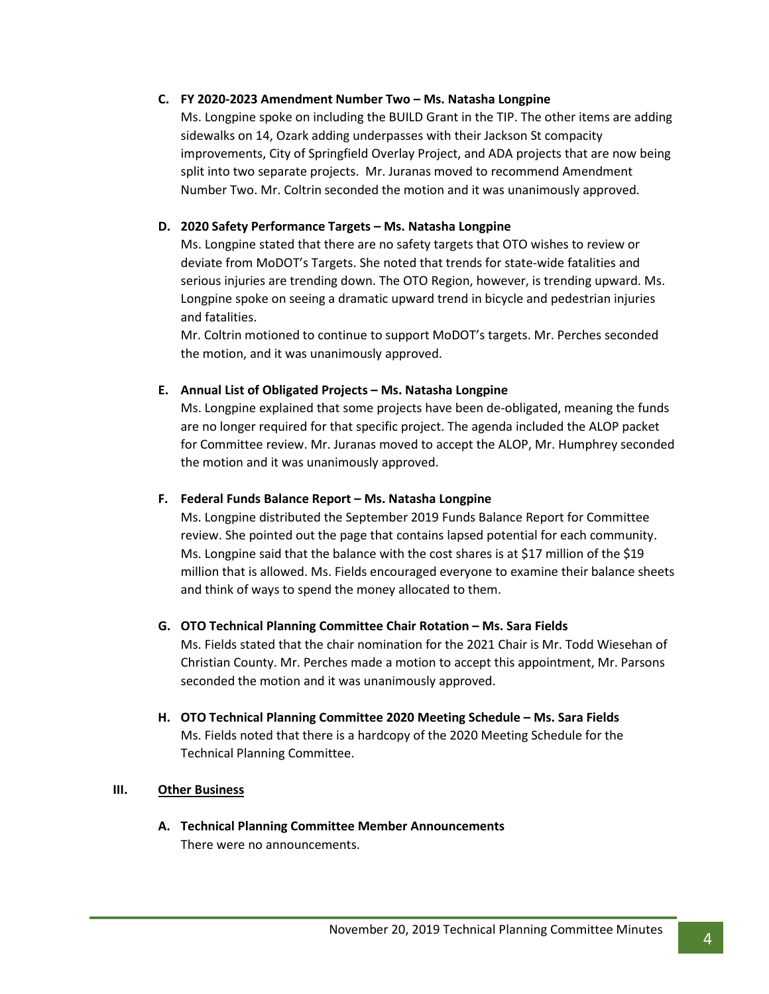### **C. FY 2020-2023 Amendment Number Two – Ms. Natasha Longpine**

Ms. Longpine spoke on including the BUILD Grant in the TIP. The other items are adding sidewalks on 14, Ozark adding underpasses with their Jackson St compacity improvements, City of Springfield Overlay Project, and ADA projects that are now being split into two separate projects. Mr. Juranas moved to recommend Amendment Number Two. Mr. Coltrin seconded the motion and it was unanimously approved.

# **D. 2020 Safety Performance Targets – Ms. Natasha Longpine**

Ms. Longpine stated that there are no safety targets that OTO wishes to review or deviate from MoDOT's Targets. She noted that trends for state-wide fatalities and serious injuries are trending down. The OTO Region, however, is trending upward. Ms. Longpine spoke on seeing a dramatic upward trend in bicycle and pedestrian injuries and fatalities.

Mr. Coltrin motioned to continue to support MoDOT's targets. Mr. Perches seconded the motion, and it was unanimously approved.

### **E. Annual List of Obligated Projects – Ms. Natasha Longpine**

Ms. Longpine explained that some projects have been de-obligated, meaning the funds are no longer required for that specific project. The agenda included the ALOP packet for Committee review. Mr. Juranas moved to accept the ALOP, Mr. Humphrey seconded the motion and it was unanimously approved.

#### **F. Federal Funds Balance Report – Ms. Natasha Longpine**

Ms. Longpine distributed the September 2019 Funds Balance Report for Committee review. She pointed out the page that contains lapsed potential for each community. Ms. Longpine said that the balance with the cost shares is at \$17 million of the \$19 million that is allowed. Ms. Fields encouraged everyone to examine their balance sheets and think of ways to spend the money allocated to them.

#### **G. OTO Technical Planning Committee Chair Rotation – Ms. Sara Fields**

Ms. Fields stated that the chair nomination for the 2021 Chair is Mr. Todd Wiesehan of Christian County. Mr. Perches made a motion to accept this appointment, Mr. Parsons seconded the motion and it was unanimously approved.

**H. OTO Technical Planning Committee 2020 Meeting Schedule – Ms. Sara Fields** Ms. Fields noted that there is a hardcopy of the 2020 Meeting Schedule for the Technical Planning Committee.

# **III. Other Business**

**A. Technical Planning Committee Member Announcements** There were no announcements.